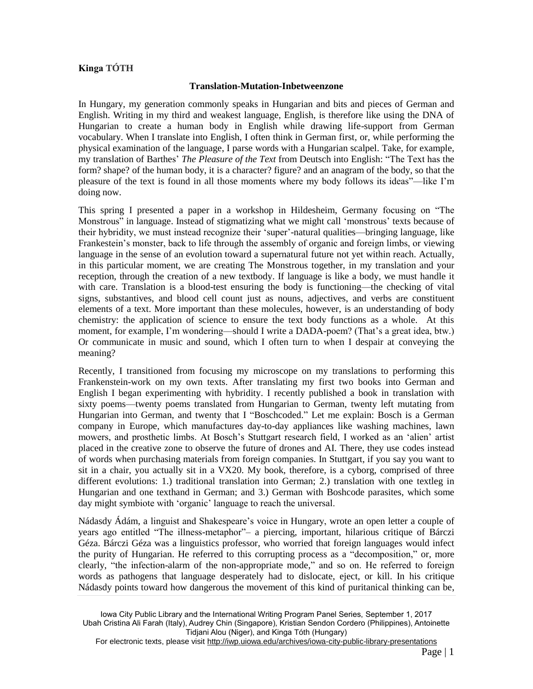## **Kinga TÓTH**

## **Translation-Mutation-Inbetweenzone**

In Hungary, my generation commonly speaks in Hungarian and bits and pieces of German and English. Writing in my third and weakest language, English, is therefore like using the DNA of Hungarian to create a human body in English while drawing life-support from German vocabulary. When I translate into English, I often think in German first, or, while performing the physical examination of the language, I parse words with a Hungarian scalpel. Take, for example, my translation of Barthes' *The Pleasure of the Text* from Deutsch into English: "The Text has the form? shape? of the human body, it is a character? figure? and an anagram of the body, so that the pleasure of the text is found in all those moments where my body follows its ideas"—like I'm doing now.

This spring I presented a paper in a workshop in Hildesheim, Germany focusing on "The Monstrous" in language. Instead of stigmatizing what we might call 'monstrous' texts because of their hybridity, we must instead recognize their 'super'-natural qualities—bringing language, like Frankestein's monster, back to life through the assembly of organic and foreign limbs, or viewing language in the sense of an evolution toward a supernatural future not yet within reach. Actually, in this particular moment, we are creating The Monstrous together, in my translation and your reception, through the creation of a new textbody. If language is like a body, we must handle it with care. Translation is a blood-test ensuring the body is functioning—the checking of vital signs, substantives, and blood cell count just as nouns, adjectives, and verbs are constituent elements of a text. More important than these molecules, however, is an understanding of body chemistry: the application of science to ensure the text body functions as a whole. At this moment, for example, I'm wondering—should I write a DADA-poem? (That's a great idea, btw.) Or communicate in music and sound, which I often turn to when I despair at conveying the meaning?

Recently, I transitioned from focusing my microscope on my translations to performing this Frankenstein-work on my own texts. After translating my first two books into German and English I began experimenting with hybridity. I recently published a book in translation with sixty poems—twenty poems translated from Hungarian to German, twenty left mutating from Hungarian into German, and twenty that I "Boschcoded." Let me explain: Bosch is a German company in Europe, which manufactures day-to-day appliances like washing machines, lawn mowers, and prosthetic limbs. At Bosch's Stuttgart research field, I worked as an 'alien' artist placed in the creative zone to observe the future of drones and AI. There, they use codes instead of words when purchasing materials from foreign companies. In Stuttgart, if you say you want to sit in a chair, you actually sit in a VX20. My book, therefore, is a cyborg, comprised of three different evolutions: 1.) traditional translation into German; 2.) translation with one textleg in Hungarian and one texthand in German; and 3.) German with Boshcode parasites, which some day might symbiote with 'organic' language to reach the universal.

Nádasdy Ádám, a linguist and Shakespeare's voice in Hungary, wrote an open letter a couple of years ago entitled "The illness-metaphor"– a piercing, important, hilarious critique of Bárczi Géza. Bárczi Géza was a linguistics professor, who worried that foreign languages would infect the purity of Hungarian. He referred to this corrupting process as a "decomposition," or, more clearly, "the infection-alarm of the non-appropriate mode," and so on. He referred to foreign words as pathogens that language desperately had to dislocate, eject, or kill. In his critique Nádasdy points toward how dangerous the movement of this kind of puritanical thinking can be,

For electronic texts, please visit http://iwp.uiowa.edu/archives/iowa-city-public-library-presentations

Iowa City Public Library and the International Writing Program Panel Series, September 1, 2017 Ubah Cristina Ali Farah (Italy), Audrey Chin (Singapore), Kristian Sendon Cordero (Philippines), Antoinette Tidjani Alou (Niger), and Kinga Tóth (Hungary)